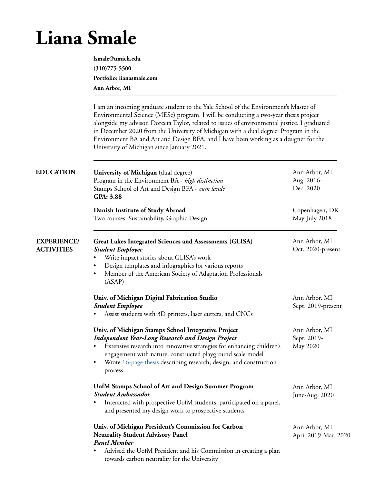## **Liana Smale**

**lsmale@umich.edu (310)775-5500 Portfolio: lianasmale.com Ann Arbor, MI**

I am an incoming graduate student to the Yale School of the Environment's Master of Environmental Science (MESc) program. I will be conducting a two-year thesis project alongside my advisor, Dorceta Taylor, related to issues of environmental justice. I graduated in December 2020 from the University of Michigan with a dual degree: Program in the Environment BA and Art and Design BFA, and I have been working as a designer for the University of Michigan since January 2021.

| <b>EDUCATION</b>                        | University of Michigan (dual degree)<br>Program in the Environment BA - high distinction<br>Stamps School of Art and Design BFA - cum laude<br>GPA: 3.88                                                                                                                                                                                 | Ann Arbor, MI<br>Aug. 2016-<br>Dec. 2020 |
|-----------------------------------------|------------------------------------------------------------------------------------------------------------------------------------------------------------------------------------------------------------------------------------------------------------------------------------------------------------------------------------------|------------------------------------------|
|                                         | Danish Institute of Study Abroad<br>Two courses: Sustainability, Graphic Design                                                                                                                                                                                                                                                          | Copenhagen, DK<br>May-July 2018          |
| <b>EXPERIENCE/</b><br><b>ACTIVITIES</b> | <b>Great Lakes Integrated Sciences and Assessments (GLISA)</b><br><b>Student Employee</b><br>Write impact stories about GLISA's work<br>Design templates and infographics for various reports<br>$\bullet$<br>Member of the American Society of Adaptation Professionals<br>$\bullet$<br>(ASAP)                                          | Ann Arbor, MI<br>Oct. 2020-present       |
|                                         | Univ. of Michigan Digital Fabrication Studio<br><b>Student Employee</b><br>Assist students with 3D printers, laser cutters, and CNCs                                                                                                                                                                                                     | Ann Arbor, MI<br>Sept. 2019-present      |
|                                         | Univ. of Michigan Stamps School Integrative Project<br><b>Independent Year-Long Research and Design Project</b><br>Extensive research into innovative strategies for enhancing children's<br>engagement with nature; constructed playground scale model<br>Wrote 16-page thesis describing research, design, and construction<br>process | Ann Arbor, MI<br>Sept. 2019-<br>May 2020 |
|                                         | <b>UofM Stamps School of Art and Design Summer Program</b><br><b>Student Ambassador</b><br>Interacted with prospective UofM students, participated on a panel,<br>$\bullet$<br>and presented my design work to prospective students                                                                                                      | Ann Arbor, MI<br>June-Aug. 2020          |
|                                         | Univ. of Michigan President's Commission for Carbon<br><b>Neutrality Student Advisory Panel</b><br><b>Panel Member</b><br>Advised the UofM President and his Commission in creating a plan<br>towards carbon neutrality for the University                                                                                               | Ann Arbor, MI<br>April 2019-Mar. 2020    |